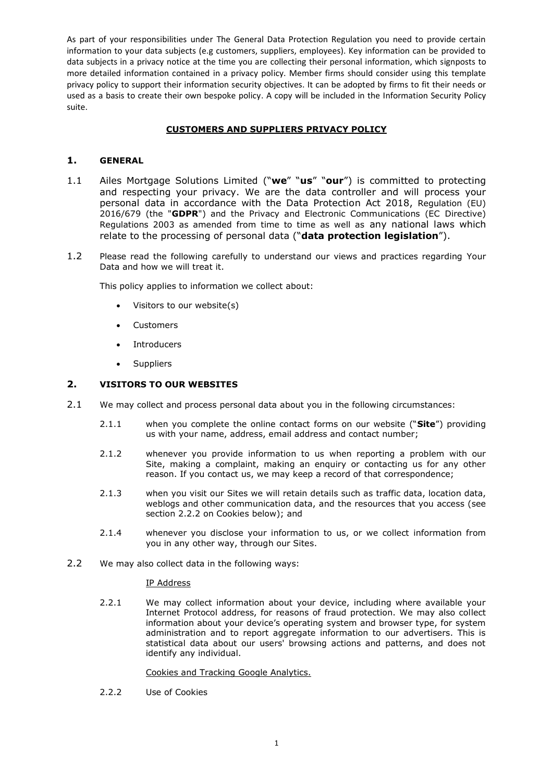# **CUSTOMERS AND SUPPLIERS PRIVACY POLICY**

# **1. GENERAL**

- 1.1 Ailes Mortgage Solutions Limited ("**we**" "**us**" "**our**") is committed to protecting and respecting your privacy. We are the data controller and will process your personal data in accordance with the Data Protection Act 2018, Regulation (EU) 2016/679 (the "**GDPR**") and the Privacy and Electronic Communications (EC Directive) Regulations 2003 as amended from time to time as well as any national laws which relate to the processing of personal data ("**data protection legislation**").
- 1.2 Please read the following carefully to understand our views and practices regarding Your Data and how we will treat it.

This policy applies to information we collect about:

- Visitors to our website(s)
- Customers
- Introducers
- Suppliers

### **2. VISITORS TO OUR WEBSITES**

- 2.1 We may collect and process personal data about you in the following circumstances:
	- 2.1.1 when you complete the online contact forms on our website ("**Site**") providing us with your name, address, email address and contact number;
	- 2.1.2 whenever you provide information to us when reporting a problem with our Site, making a complaint, making an enquiry or contacting us for any other reason. If you contact us, we may keep a record of that correspondence;
	- 2.1.3 when you visit our Sites we will retain details such as traffic data, location data, weblogs and other communication data, and the resources that you access (see section 2.2.2 on Cookies below); and
	- 2.1.4 whenever you disclose your information to us, or we collect information from you in any other way, through our Sites.
- 2.2 We may also collect data in the following ways:

#### IP Address

2.2.1 We may collect information about your device, including where available your Internet Protocol address, for reasons of fraud protection. We may also collect information about your device's operating system and browser type, for system administration and to report aggregate information to our advertisers. This is statistical data about our users' browsing actions and patterns, and does not identify any individual.

#### Cookies and Tracking Google Analytics.

2.2.2 Use of Cookies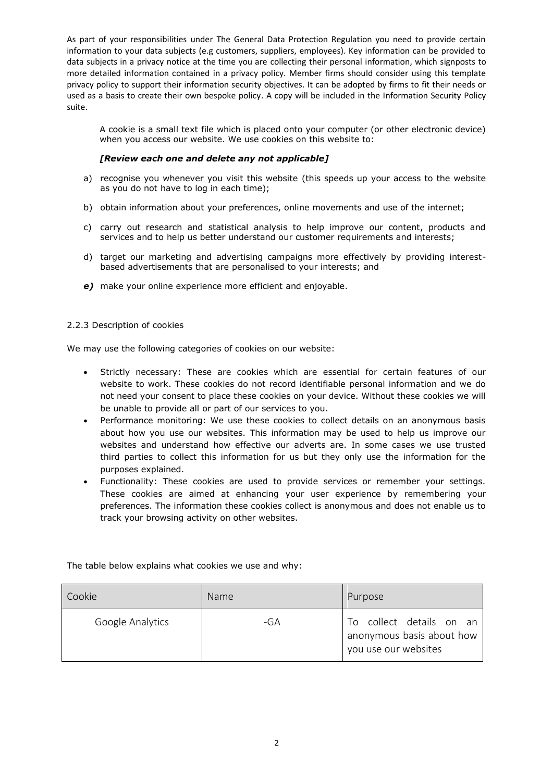A cookie is a small text file which is placed onto your computer (or other electronic device) when you access our website. We use cookies on this website to:

### *[Review each one and delete any not applicable]*

- a) recognise you whenever you visit this website (this speeds up your access to the website as you do not have to log in each time);
- b) obtain information about your preferences, online movements and use of the internet;
- c) carry out research and statistical analysis to help improve our content, products and services and to help us better understand our customer requirements and interests;
- d) target our marketing and advertising campaigns more effectively by providing interestbased advertisements that are personalised to your interests; and
- *e)* make your online experience more efficient and enjoyable.

#### 2.2.3 Description of cookies

We may use the following categories of cookies on our website:

- Strictly necessary: These are cookies which are essential for certain features of our website to work. These cookies do not record identifiable personal information and we do not need your consent to place these cookies on your device. Without these cookies we will be unable to provide all or part of our services to you.
- Performance monitoring: We use these cookies to collect details on an anonymous basis about how you use our websites. This information may be used to help us improve our websites and understand how effective our adverts are. In some cases we use trusted third parties to collect this information for us but they only use the information for the purposes explained.
- Functionality: These cookies are used to provide services or remember your settings. These cookies are aimed at enhancing your user experience by remembering your preferences. The information these cookies collect is anonymous and does not enable us to track your browsing activity on other websites.

| Cookie           | <b>Name</b> | Purpose                                               |
|------------------|-------------|-------------------------------------------------------|
| Google Analytics | -GA         | To collect details on an<br>anonymous basis about how |

The table below explains what cookies we use and why:

you use our websites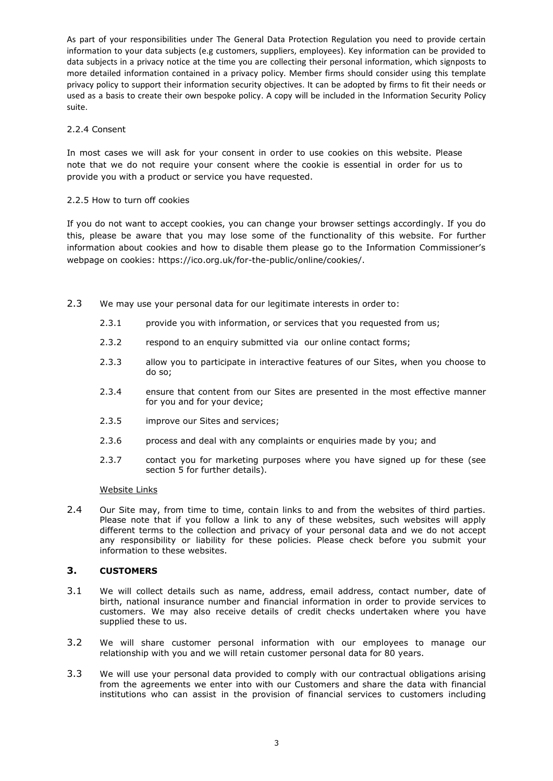### 2.2.4 Consent

In most cases we will ask for your consent in order to use cookies on this website. Please note that we do not require your consent where the cookie is essential in order for us to provide you with a product or service you have requested.

### 2.2.5 How to turn off cookies

If you do not want to accept cookies, you can change your browser settings accordingly. If you do this, please be aware that you may lose some of the functionality of this website. For further information about cookies and how to disable them please go to the Information Commissioner's webpage on cookies: [https://ico.org.uk/for-the-public/online/cookies/.](https://ico.org.uk/for-the-public/online/cookies/)

- 2.3 We may use your personal data for our legitimate interests in order to:
	- 2.3.1 provide you with information, or services that you requested from us;
	- 2.3.2 respond to an enquiry submitted via our online contact forms;
	- 2.3.3 allow you to participate in interactive features of our Sites, when you choose to do so;
	- 2.3.4 ensure that content from our Sites are presented in the most effective manner for you and for your device;
	- 2.3.5 improve our Sites and services;
	- 2.3.6 process and deal with any complaints or enquiries made by you; and
	- 2.3.7 contact you for marketing purposes where you have signed up for these (see section 5 for further details).

#### Website Links

2.4 Our Site may, from time to time, contain links to and from the websites of third parties. Please note that if you follow a link to any of these websites, such websites will apply different terms to the collection and privacy of your personal data and we do not accept any responsibility or liability for these policies. Please check before you submit your information to these websites.

#### **3. CUSTOMERS**

- 3.1 We will collect details such as name, address, email address, contact number, date of birth, national insurance number and financial information in order to provide services to customers. We may also receive details of credit checks undertaken where you have supplied these to us.
- 3.2 We will share customer personal information with our employees to manage our relationship with you and we will retain customer personal data for 80 years.
- 3.3 We will use your personal data provided to comply with our contractual obligations arising from the agreements we enter into with our Customers and share the data with financial institutions who can assist in the provision of financial services to customers including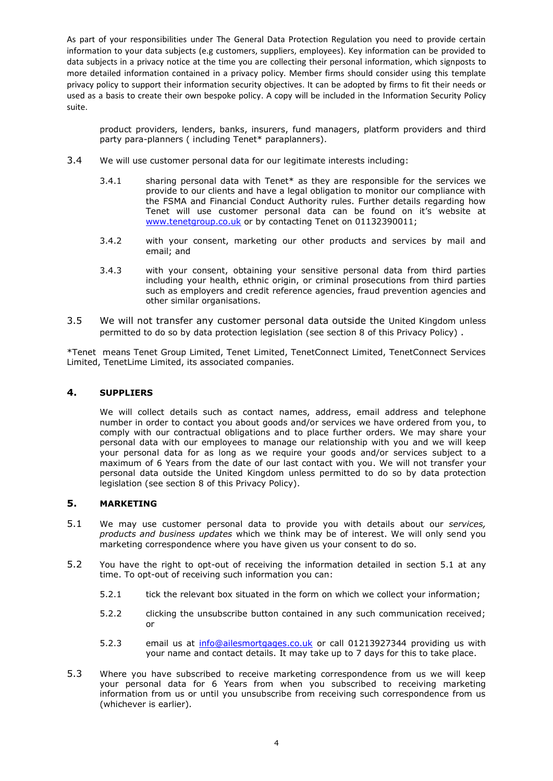product providers, lenders, banks, insurers, fund managers, platform providers and third party para-planners ( including Tenet\* paraplanners).

- 3.4 We will use customer personal data for our legitimate interests including:
	- 3.4.1 sharing personal data with Tenet\* as they are responsible for the services we provide to our clients and have a legal obligation to monitor our compliance with the FSMA and Financial Conduct Authority rules. Further details regarding how Tenet will use customer personal data can be found on it's website at [www.tenetgroup.co.uk](http://www.tenetgroup.co.uk/) or by contacting Tenet on 01132390011;
	- 3.4.2 with your consent, marketing our other products and services by mail and email; and
	- 3.4.3 with your consent, obtaining your sensitive personal data from third parties including your health, ethnic origin, or criminal prosecutions from third parties such as employers and credit reference agencies, fraud prevention agencies and other similar organisations.
- 3.5 We will not transfer any customer personal data outside the United Kingdom unless permitted to do so by data protection legislation (see section 8 of this Privacy Policy) .

\*Tenet means Tenet Group Limited, Tenet Limited, TenetConnect Limited, TenetConnect Services Limited, TenetLime Limited, its associated companies.

# **4. SUPPLIERS**

We will collect details such as contact names, address, email address and telephone number in order to contact you about goods and/or services we have ordered from you, to comply with our contractual obligations and to place further orders. We may share your personal data with our employees to manage our relationship with you and we will keep your personal data for as long as we require your goods and/or services subject to a maximum of 6 Years from the date of our last contact with you. We will not transfer your personal data outside the United Kingdom unless permitted to do so by data protection legislation (see section 8 of this Privacy Policy).

## **5. MARKETING**

- 5.1 We may use customer personal data to provide you with details about our *services, products and business updates* which we think may be of interest. We will only send you marketing correspondence where you have given us your consent to do so.
- 5.2 You have the right to opt-out of receiving the information detailed in section 5.1 at any time. To opt-out of receiving such information you can:
	- 5.2.1 tick the relevant box situated in the form on which we collect your information;
	- 5.2.2 clicking the unsubscribe button contained in any such communication received; or
	- 5.2.3 email us at [info@ailesmortgages.co.uk](mailto:info@ailesmortgages.co.uk) or call 01213927344 providing us with your name and contact details. It may take up to 7 days for this to take place.
- 5.3 Where you have subscribed to receive marketing correspondence from us we will keep your personal data for 6 Years from when you subscribed to receiving marketing information from us or until you unsubscribe from receiving such correspondence from us (whichever is earlier).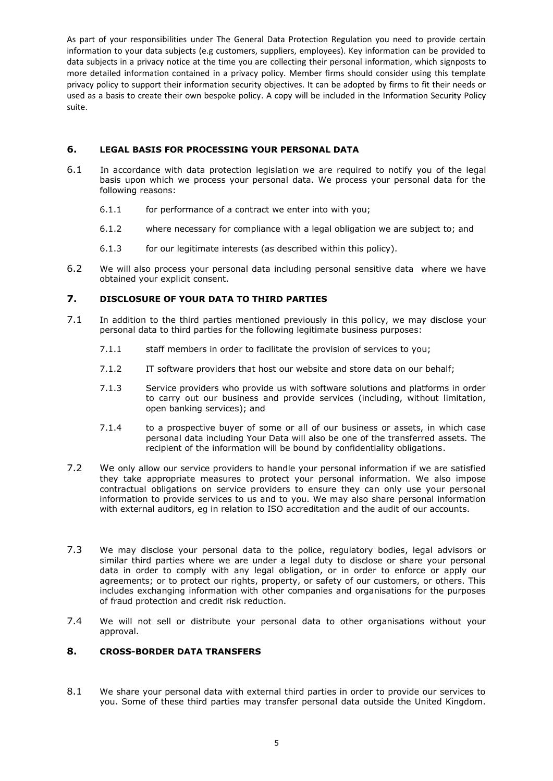## **6. LEGAL BASIS FOR PROCESSING YOUR PERSONAL DATA**

- 6.1 In accordance with data protection legislation we are required to notify you of the legal basis upon which we process your personal data. We process your personal data for the following reasons:
	- 6.1.1 for performance of a contract we enter into with you;
	- 6.1.2 where necessary for compliance with a legal obligation we are subject to; and
	- 6.1.3 for our legitimate interests (as described within this policy).
- 6.2 We will also process your personal data including personal sensitive data where we have obtained your explicit consent.

# **7. DISCLOSURE OF YOUR DATA TO THIRD PARTIES**

- 7.1 In addition to the third parties mentioned previously in this policy, we may disclose your personal data to third parties for the following legitimate business purposes:
	- 7.1.1 staff members in order to facilitate the provision of services to you;
	- 7.1.2 IT software providers that host our website and store data on our behalf;
	- 7.1.3 Service providers who provide us with software solutions and platforms in order to carry out our business and provide services (including, without limitation, open banking services); and
	- 7.1.4 to a prospective buyer of some or all of our business or assets, in which case personal data including Your Data will also be one of the transferred assets. The recipient of the information will be bound by confidentiality obligations.
- 7.2 We only allow our service providers to handle your personal information if we are satisfied they take appropriate measures to protect your personal information. We also impose contractual obligations on service providers to ensure they can only use your personal information to provide services to us and to you. We may also share personal information with external auditors, eg in relation to ISO accreditation and the audit of our accounts.
- 7.3 We may disclose your personal data to the police, regulatory bodies, legal advisors or similar third parties where we are under a legal duty to disclose or share your personal data in order to comply with any legal obligation, or in order to enforce or apply our agreements; or to protect our rights, property, or safety of our customers, or others. This includes exchanging information with other companies and organisations for the purposes of fraud protection and credit risk reduction.
- 7.4 We will not sell or distribute your personal data to other organisations without your approval.

## **8. CROSS-BORDER DATA TRANSFERS**

8.1 We share your personal data with external third parties in order to provide our services to you. Some of these third parties may transfer personal data outside the United Kingdom.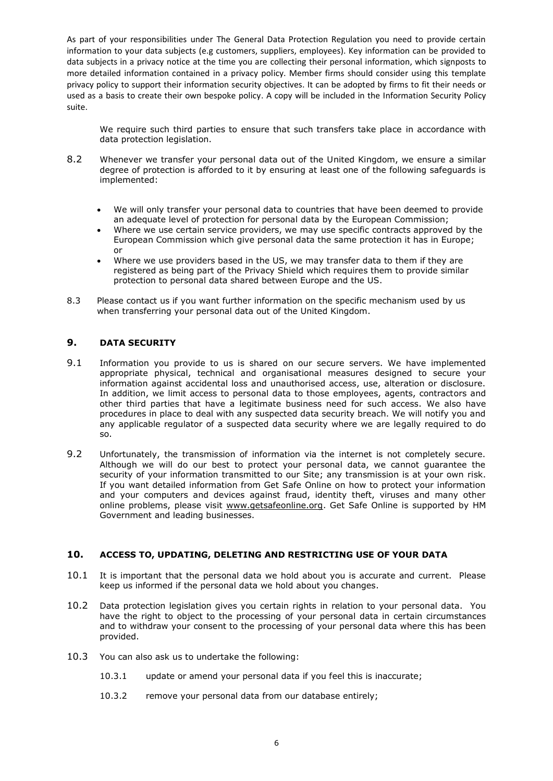We require such third parties to ensure that such transfers take place in accordance with data protection legislation.

- 8.2 Whenever we transfer your personal data out of the United Kingdom, we ensure a similar degree of protection is afforded to it by ensuring at least one of the following safeguards is implemented:
	- We will only transfer your personal data to countries that have been deemed to provide an adequate level of protection for personal data by the European Commission;
	- Where we use certain service providers, we may use specific contracts approved by the European Commission which give personal data the same protection it has in Europe; or
	- Where we use providers based in the US, we may transfer data to them if they are registered as being part of the Privacy Shield which requires them to provide similar protection to personal data shared between Europe and the US.
- 8.3 Please contact us if you want further information on the specific mechanism used by us when transferring your personal data out of the United Kingdom.

# **9. DATA SECURITY**

- 9.1 Information you provide to us is shared on our secure servers. We have implemented appropriate physical, technical and organisational measures designed to secure your information against accidental loss and unauthorised access, use, alteration or disclosure. In addition, we limit access to personal data to those employees, agents, contractors and other third parties that have a legitimate business need for such access. We also have procedures in place to deal with any suspected data security breach. We will notify you and any applicable regulator of a suspected data security where we are legally required to do so.
- 9.2 Unfortunately, the transmission of information via the internet is not completely secure. Although we will do our best to protect your personal data, we cannot guarantee the security of your information transmitted to our Site; any transmission is at your own risk. If you want detailed information from Get Safe Online on how to protect your information and your computers and devices against fraud, identity theft, viruses and many other online problems, please visit www.getsafeonline.org. Get Safe Online is supported by HM Government and leading businesses.

### **10. ACCESS TO, UPDATING, DELETING AND RESTRICTING USE OF YOUR DATA**

- 10.1 It is important that the personal data we hold about you is accurate and current. Please keep us informed if the personal data we hold about you changes.
- 10.2 Data protection legislation gives you certain rights in relation to your personal data. You have the right to object to the processing of your personal data in certain circumstances and to withdraw your consent to the processing of your personal data where this has been provided.
- 10.3 You can also ask us to undertake the following:
	- 10.3.1 update or amend your personal data if you feel this is inaccurate;
	- 10.3.2 remove your personal data from our database entirely;